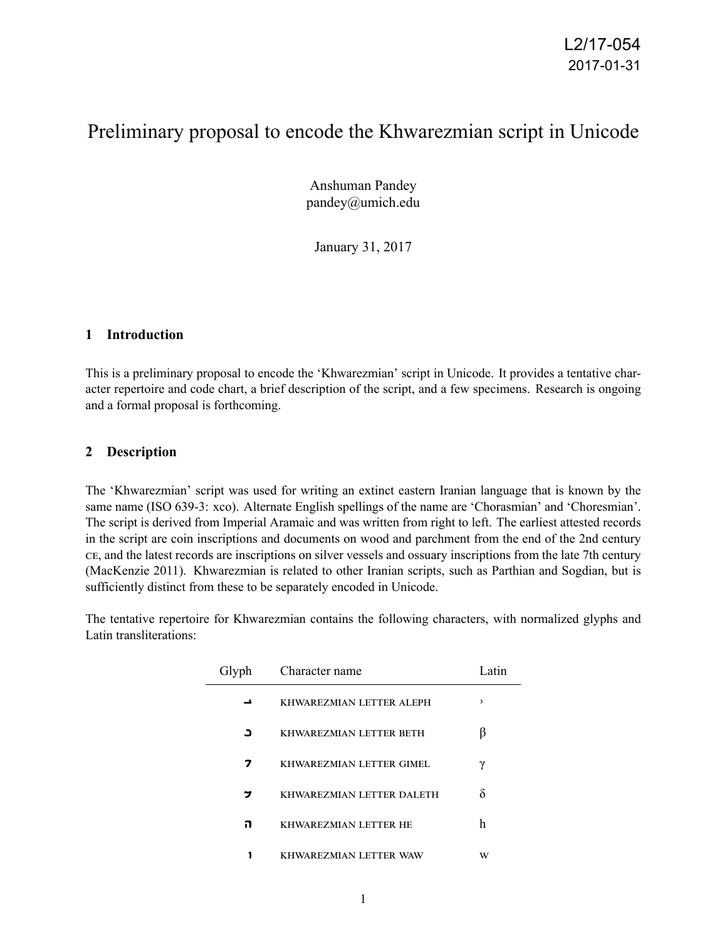# Preliminary proposal to encode the Khwarezmian script in Unicode

Anshuman Pandey pandey@umich.edu

January 31, 2017

#### **1 Introduction**

This is a preliminary proposal to encode the 'Khwarezmian' script in Unicode. It provides a tentative character repertoire and code chart, a brief description of the script, and a few specimens. Research is ongoing and a formal proposal is forthcoming.

#### **2 Description**

The 'Khwarezmian' script was used for writing an extinct eastern Iranian language that is known by the same name (ISO 639-3: xco). Alternate English spellings of the name are 'Chorasmian' and 'Choresmian'. The script is derived from Imperial Aramaic and was written from right to left. The earliest attested records in the script are coin inscriptions and documents on wood and parchment from the end of the 2nd century CE, and the latest records are inscriptions on silver vessels and ossuary inscriptions from the late 7th century (MacKenzie 2011). Khwarezmian is related to other Iranian scripts, such as Parthian and Sogdian, but is sufficiently distinct from these to be separately encoded in Unicode.

The tentative repertoire for Khwarezmian contains the following characters, with normalized glyphs and Latin transliterations:

| Glyph | Character name            | Latin        |
|-------|---------------------------|--------------|
|       | KHWAREZMIAN LETTER ALEPH  | $\mathbf{z}$ |
| ב     | KHWAREZMIAN LETTER BETH   |              |
| 7     | KHWAREZMIAN LETTER GIMEL  | ν            |
| י     | KHWAREZMIAN LETTER DALETH | δ            |
| ่ก    | KHWAREZMIAN LETTER HE     | h            |
|       | KHWAREZMIAN LETTER WAW    | W            |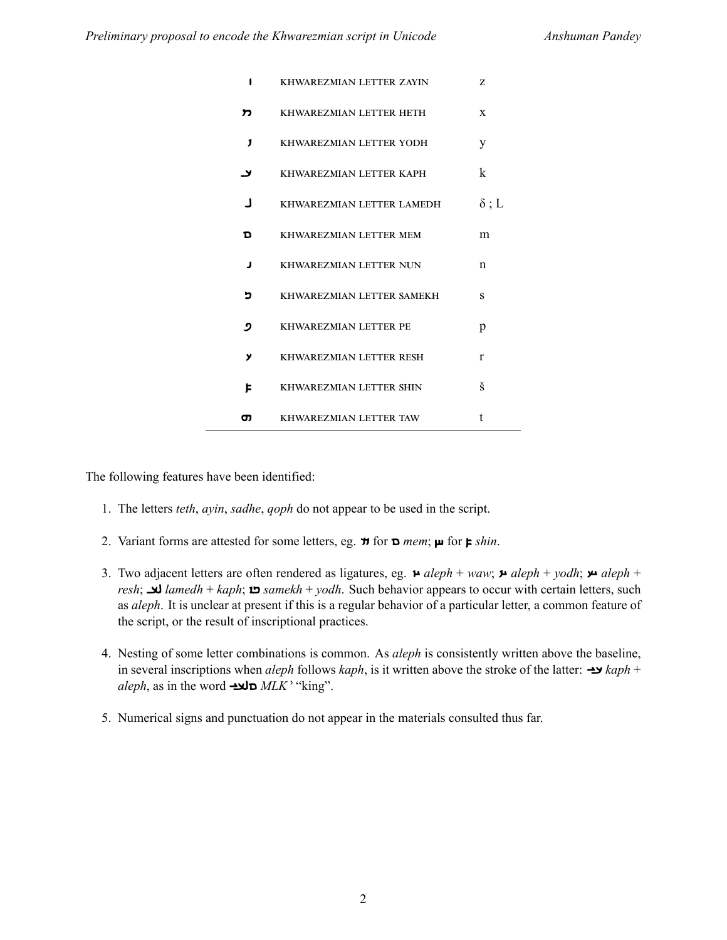| 1            | KHWAREZMIAN LETTER ZAYIN       | Z            |
|--------------|--------------------------------|--------------|
| ກ            | KHWAREZMIAN LETTER HETH        | X            |
| $\mathbf{J}$ | KHWAREZMIAN LETTER YODH        | y            |
| لا           | KHWAREZMIAN LETTER KAPH        | k            |
| - 1          | KHWAREZMIAN LETTER LAMEDH      | $\delta$ ; L |
| D            | KHWAREZMIAN LETTER MEM         | m            |
| J            | KHWAREZMIAN LETTER NUN         | $\mathsf{n}$ |
| כ            | KHWAREZMIAN LETTER SAMEKH      | S            |
| פ            | KHWAREZMIAN LETTER PE          | p            |
| У            | KHWAREZMIAN LETTER RESH        | r            |
| ᄇ            | <b>KHWAREZMIAN LETTER SHIN</b> | š            |
| σ            | KHWAREZMIAN LETTER TAW         | t            |

The following features have been identified:

- 1. The letters *teth*, *ayin*, *sadhe*, *qoph* do not appear to be used in the script.
- 2. Variant forms are attested for some letters, eg.  $\pi$  for  $\pi$  *mem*;  $\mu$  for  $\mu$ *shin*.
- 3. Two adjacent letters are often rendered as ligatures, eg. *aleph* + *waw*; *aleph* + *yodh*; *aleph* + *resh*; *lamedh* + *kaph*; *samekh* + *yodh*. Such behavior appears to occur with certain letters, such as *aleph*. It is unclear at present if this is a regular behavior of a particular letter, a common feature of the script, or the result of inscriptional practices.
- 4. Nesting of some letter combinations is common. As *aleph* is consistently written above the baseline, in several inscriptions when *aleph* follows *kaph*, is it written above the stroke of the latter: *kaph* + *aleph*, as in the word *MLKʾ* "king".
- 5. Numerical signs and punctuation do not appear in the materials consulted thus far.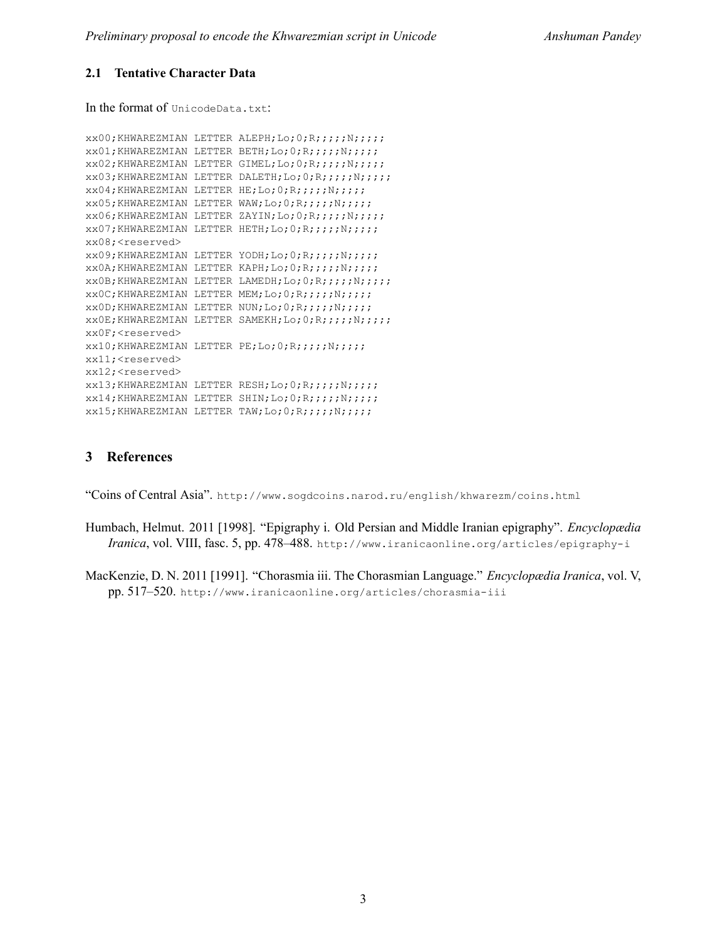#### **2.1 Tentative Character Data**

In the format of UnicodeData.txt:

```
xx00;KHWAREZMIAN LETTER ALEPH;Lo;0;R;;;;;N;;;;;;
xx01;KHWAREZMIAN LETTER BETH;Lo;0;R;;;;;N;;;;;
xx02;KHWAREZMIAN LETTER GIMEL;Lo;0;R;;;;;N;;;;;
xx03;KHWAREZMIAN LETTER DALETH;Lo;0;R;;;;;N;;;;;
xx04;KHWAREZMIAN LETTER HE;Lo;0;R;;;;;N;;;;;
xx05;KHWAREZMIAN LETTER WAW;Lo;0;R;;;;;N;;;;;
xx06;KHWAREZMIAN LETTER ZAYIN;Lo;0;R;;;;;N;;;;;;
xx07; KHWAREZMIAN LETTER HETH; Lo; 0; R;;;;;;N;;;;;
xx08;<reserved>
xx09;KHWAREZMIAN LETTER YODH;Lo;0;R;;;;;N;;;;;
xx0A;KHWAREZMIAN LETTER KAPH;Lo;0;R;;;;;N;;;;;
xx0B;KHWAREZMIAN LETTER LAMEDH;Lo;0;R;;;;;N;;;;;
xx0C;KHWAREZMIAN LETTER MEM;Lo;0;R;;;;;N;;;;;
xx0D;KHWAREZMIAN LETTER NUN;Lo;0;R;;;;;N;;;;;
xx0E;KHWAREZMIAN LETTER SAMEKH;Lo;0;R;;;;;N;;;;;
xx0F;<reserved>
xx10;KHWAREZMIAN LETTER PE;Lo;0;R;;;;;N;;;;;
xx11;<reserved>
xx12;<reserved>
xx13;KHWAREZMIAN LETTER RESH;Lo;0;R;;;;;N;;;;;;
xx14;KHWAREZMIAN LETTER SHIN;Lo;O;R;;;;;;;;;;;;
xx15;KHWAREZMIAN LETTER TAW;Lo;0;R;;;;;N;;;;;
```
#### **3 References**

"Coins of Central Asia". http://www.sogdcoins.narod.ru/english/khwarezm/coins.html

- Humbach, Helmut. 2011 [1998]. "Epigraphy i. Old Persian and Middle Iranian epigraphy". *Encyclopædia Iranica*, vol. VIII, fasc. 5, pp. 478–488. http://www.iranicaonline.org/articles/epigraphy-i
- MacKenzie, D. N. 2011 [1991]. "Chorasmia iii. The Chorasmian Language." *Encyclopædia Iranica*, vol. V, pp. 517–520. http://www.iranicaonline.org/articles/chorasmia-iii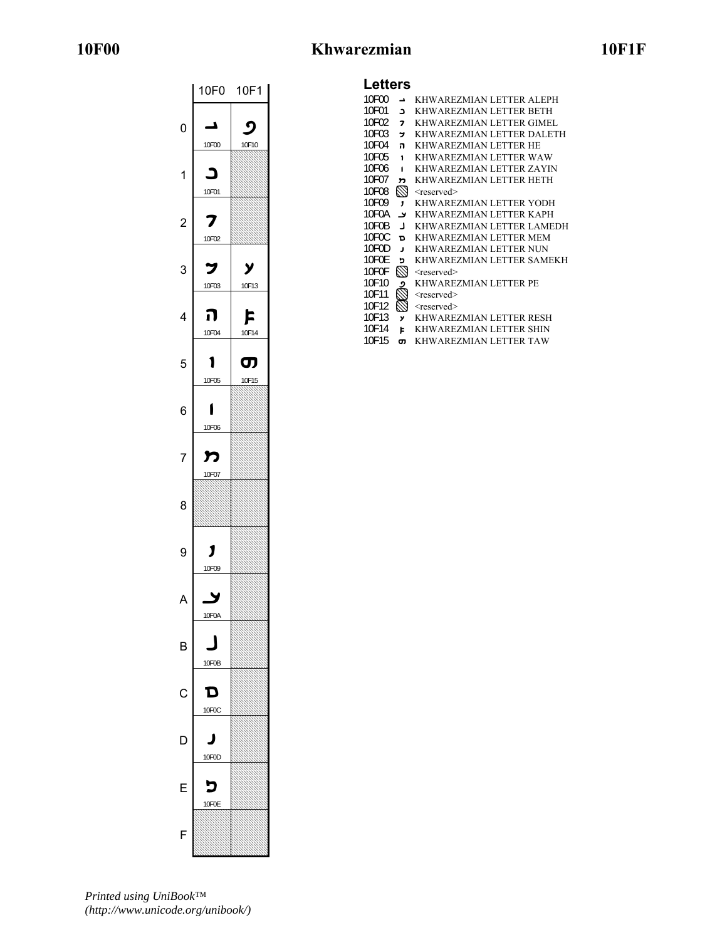## **10F00 Khwarezmian 10F1F**

|                | 10F0  | 10F1       |
|----------------|-------|------------|
|                |       |            |
|                | A     | ς          |
| 0              |       |            |
|                | 10F00 | 10F10      |
|                |       |            |
| 1              |       |            |
|                |       |            |
|                | 10F01 |            |
|                |       |            |
| $\overline{c}$ | 2     |            |
|                |       |            |
|                | 10F02 |            |
|                |       |            |
| 3              | フ     | у          |
|                | 10F03 | 10F13      |
|                |       |            |
|                |       |            |
| 4              | ה     | F          |
|                | 10F04 | 10F14      |
|                |       |            |
|                |       |            |
| 5              |       | ີ <b>ຕ</b> |
|                | 10F05 | 10F15      |
|                |       |            |
|                |       |            |
| 6              |       |            |
|                | 10F06 |            |
|                |       |            |
|                |       |            |
| 7              | מ     |            |
|                | 10F07 |            |
|                |       |            |
|                |       |            |
|                |       |            |
| 8              |       |            |
|                |       |            |
|                |       |            |
|                | 1     |            |
| 9              |       |            |
|                | 10F09 |            |
|                |       |            |
|                |       |            |
|                | 10F0A |            |
|                |       |            |
|                |       |            |
| B              |       |            |
|                |       |            |
|                | 10F0B |            |
|                |       |            |
| С              | D     |            |
|                | 10F0C |            |
|                |       |            |
|                |       |            |
| D              |       |            |
|                | 10F0D |            |
|                |       |            |
|                |       |            |
| F              |       |            |
|                | 10F0E |            |
|                |       |            |
|                |       |            |
| F              |       |            |

### **Letters**

| 10F00 | ⊐           | KHWAREZMIAN LETTER ALEPH  |
|-------|-------------|---------------------------|
| 10F01 | C           | KHWAREZMIAN LETTER BETH   |
| 10F02 | 7           | KHWAREZMIAN LETTER GIMEL  |
| 10F03 | י           | KHWAREZMIAN LETTER DALETH |
| 10F04 | ่ก          | KHWAREZMIAN LETTER HE     |
| 10F05 | 1           | KHWAREZMIAN LETTER WAW    |
| 10F06 | 1           | KHWAREZMIAN LETTER ZAYIN  |
| 10F07 | ŋ           | KHWAREZMIAN LETTER HETH   |
| 10F08 | $\boxtimes$ | <reserved></reserved>     |
| 10F09 | 1           | KHWAREZMIAN LETTER YODH   |
| 10F0A | ⊿           | KHWAREZMIAN LETTER KAPH   |
| 10F0B | ┚           | KHWAREZMIAN LETTER LAMEDH |
| 10F0C | D           | KHWAREZMIAN LETTER MEM    |
| 10F0D | J           | KHWAREZMIAN LETTER NUN    |
| 10F0F | כ           | KHWAREZMIAN LETTER SAMEKH |
| 10F0F | $\boxtimes$ | <reserved></reserved>     |
| 10F10 | و           | KHWAREZMIAN LETTER PE     |
| 10F11 | Þ           | <reserved></reserved>     |
| 10F12 | $\boxtimes$ | <reserved></reserved>     |
| 10F13 | y           | KHWAREZMIAN LETTER RESH   |
| 10F14 | Þ           | KHWAREZMIAN LETTER SHIN   |

10F15 **o** KHWAREZMIAN LETTER TAW

*Printed using UniBook™ (http://www.unicode.org/unibook/)*